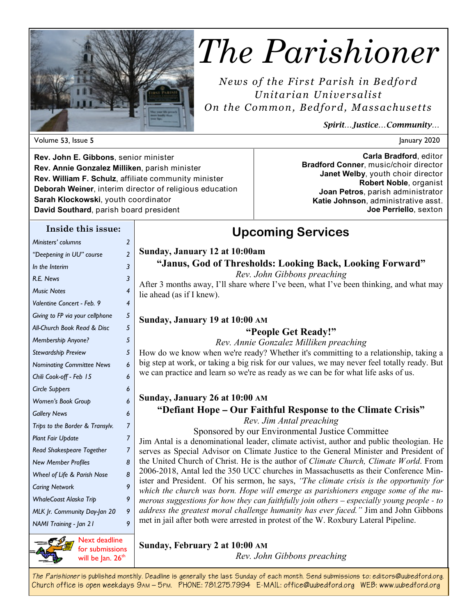

# *The Parishioner*

*News of the First Parish in Bedford Unitarian Unive rsalist On the Common, Bedfor d, Massachuse tts* 

**Upcoming Services** 

*Spirit…Justice…Community…* 

Volume 53, Issue 5 and 2020 and 2020 and 2020 and 2020 and 2020 and 2020 and 2020 and 2020 and 2020 and 2020 and 2020 and 2020 and 2020 and 2020 and 2020 and 2020 and 2020 and 2020 and 2020 and 2020 and 2020 and 2020 and 2

**Rev. John E. Gibbons**, senior minister **Rev. Annie Gonzalez Milliken**, parish minister **Rev. William F. Schulz**, affiliate community minister **Deborah Weiner**, interim director of religious education **Sarah Klockowski**, youth coordinator **David Southard**, parish board president

**Carla Bradford**, editor **Bradford Conner**, music/choir director **Janet Welby**, youth choir director **Robert Noble**, organist **Joan Petros**, parish administrator **Katie Johnson**, administrative asst. **Joe Perriello**, sexton

#### **Inside this issue:**

| Ministers' columns               | 2              |                                                                                                                                                                                |
|----------------------------------|----------------|--------------------------------------------------------------------------------------------------------------------------------------------------------------------------------|
| "Deepening in UU" course         | $\overline{2}$ | Sunday, January 12 at 10:00am                                                                                                                                                  |
| In the Interim                   | 3              | "Janus, God of Thresholds: Looking Back, Looking Forward"                                                                                                                      |
| R.E. News                        | 3              | Rev. John Gibbons preaching                                                                                                                                                    |
| <b>Music Notes</b>               | 4              | After 3 months away, I'll share where I've been, what I've been thinking, and what may<br>lie ahead (as if I knew).                                                            |
| Valentine Concert - Feb. 9       | 4              |                                                                                                                                                                                |
| Giving to FP via your cellphone  | 5              | Sunday, January 19 at 10:00 AM                                                                                                                                                 |
| All-Church Book Read & Disc      | 5              | "People Get Ready!"                                                                                                                                                            |
| Membership Anyone?               | 5              | Rev. Annie Gonzalez Milliken preaching                                                                                                                                         |
| Stewardship Preview              | 5              | How do we know when we're ready? Whether it's committing to a relationship, taking a                                                                                           |
| <b>Nominating Committee News</b> | 6              | big step at work, or taking a big risk for our values, we may never feel totally ready. But                                                                                    |
| Chili Cook-off - Feb 15          | 6              | we can practice and learn so we're as ready as we can be for what life asks of us.                                                                                             |
| <b>Circle Suppers</b>            | 6              |                                                                                                                                                                                |
| Women's Book Group               | 6              | Sunday, January 26 at 10:00 AM                                                                                                                                                 |
| <b>Gallery News</b>              | 6              | "Defiant Hope – Our Faithful Response to the Climate Crisis"                                                                                                                   |
| Trips to the Border & Transylv.  | $\overline{7}$ | Rev. Jim Antal preaching<br>Sponsored by our Environmental Justice Committee                                                                                                   |
| <b>Plant Fair Update</b>         | 7              | Jim Antal is a denominational leader, climate activist, author and public theologian. He                                                                                       |
| Read Shakespeare Together        | 7              | serves as Special Advisor on Climate Justice to the General Minister and President of                                                                                          |
| <b>New Member Profiles</b>       | 8              | the United Church of Christ. He is the author of Climate Church, Climate World. From                                                                                           |
| Wheel of Life & Parish Nose      | 8              | 2006-2018, Antal led the 350 UCC churches in Massachusetts as their Conference Min-<br>ister and President. Of his sermon, he says, "The climate crisis is the opportunity for |
| <b>Caring Network</b>            | 9              | which the church was born. Hope will emerge as parishioners engage some of the nu-                                                                                             |
| <b>WhaleCoast Alaska Trip</b>    | 9              | merous suggestions for how they can faithfully join others - especially young people - to                                                                                      |
| MLK Jr. Community Day-Jan 20     | 9              | address the greatest moral challenge humanity has ever faced." Jim and John Gibbons                                                                                            |
| NAMI Training - Jan 21           | 9              | met in jail after both were arrested in protest of the W. Roxbury Lateral Pipeline.                                                                                            |
| Since Next deadline              |                | Sunday, February 2 of 10:00 AM                                                                                                                                                 |



for submissions will be Jan. 26<sup>th</sup>

**Sunday, February 2 at 10:00 AM**

*Rev. John Gibbons preaching*

*The Parishioner* **is published monthly. Deadline is generally the last Sunday of each month. Send submissions to: editors@uubedford.org. Church office is open weekdays 9AM – 5PM. PHONE: 781.275.7994 E-MAIL: office@uubedford.org WEB: www.uubedford.org**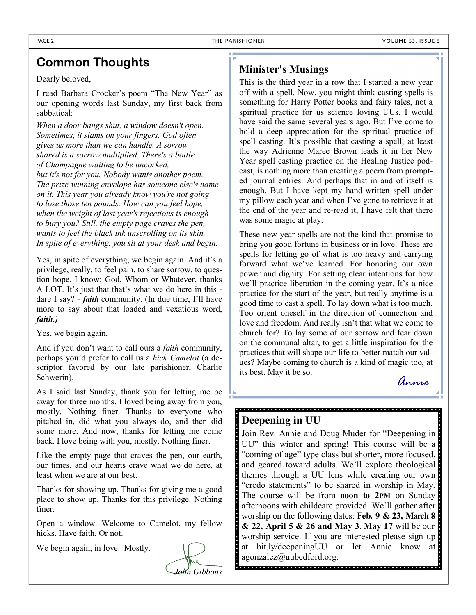### **Common Thoughts**

Dearly beloved,

I read Barbara Crocker's poem "The New Year" as our opening words last Sunday, my first back from sabbatical:

*When a door bangs shut, a window doesn't open. Sometimes, it slams on your fingers. God often gives us more than we can handle. A sorrow shared is a sorrow multiplied. There's a bottle of Champagne waiting to be uncorked, but it's not for you. Nobody wants another poem. The prize-winning envelope has someone else's name on it. This year you already know you're not going to lose those ten pounds. How can you feel hope, when the weight of last year's rejections is enough to bury you? Still, the empty page craves the pen, wants to feel the black ink unscrolling on its skin. In spite of everything, you sit at your desk and begin.*

Yes, in spite of everything, we begin again. And it's a privilege, really, to feel pain, to share sorrow, to question hope. I know: God, Whom or Whatever, thanks A LOT. It's just that that's what we do here in this dare I say? - *faith* community. (In due time, I'll have more to say about that loaded and vexatious word, *faith.)*

Yes, we begin again.

And if you don't want to call ours a *faith* community, perhaps you'd prefer to call us a *hick Camelot* (a descriptor favored by our late parishioner, Charlie Schwerin).

As I said last Sunday, thank you for letting me be away for three months. I loved being away from you, mostly. Nothing finer. Thanks to everyone who pitched in, did what you always do, and then did some more. And now, thanks for letting me come back. I love being with you, mostly. Nothing finer.

Like the empty page that craves the pen, our earth, our times, and our hearts crave what we do here, at least when we are at our best.

Thanks for showing up. Thanks for giving me a good place to show up. Thanks for this privilege. Nothing finer.

Open a window. Welcome to Camelot, my fellow hicks. Have faith. Or not.

We begin again, in love. Mostly.



#### **Minister's Musings**

This is the third year in a row that I started a new year off with a spell. Now, you might think casting spells is something for Harry Potter books and fairy tales, not a spiritual practice for us science loving UUs. I would have said the same several years ago. But I've come to hold a deep appreciation for the spiritual practice of spell casting. It's possible that casting a spell, at least the way Adrienne Maree Brown leads it in her New Year spell casting practice on the Healing Justice podcast, is nothing more than creating a poem from prompted journal entries. And perhaps that in and of itself is enough. But I have kept my hand-written spell under my pillow each year and when I've gone to retrieve it at the end of the year and re-read it, I have felt that there was some magic at play.

These new year spells are not the kind that promise to bring you good fortune in business or in love. These are spells for letting go of what is too heavy and carrying forward what we've learned. For honoring our own power and dignity. For setting clear intentions for how we'll practice liberation in the coming year. It's a nice practice for the start of the year, but really anytime is a good time to cast a spell. To lay down what is too much. Too orient oneself in the direction of connection and love and freedom. And really isn't that what we come to church for? To lay some of our sorrow and fear down on the communal altar, to get a little inspiration for the practices that will shape our life to better match our values? Maybe coming to church is a kind of magic too, at its best. May it be so.

*Annie* 

#### **Deepening in UU**

Join Rev. Annie and Doug Muder for "Deepening in UU" this winter and spring! This course will be a "coming of age" type class but shorter, more focused, and geared toward adults. We'll explore theological themes through a UU lens while creating our own "credo statements" to be shared in worship in May. The course will be from **noon to 2PM** on Sunday afternoons with childcare provided. We'll gather after worship on the following dates: **Feb. 9 & 23, March 8 & 22, April 5 & 26 and May 3**. **May 17** will be our worship service. If you are interested please sign up at bit.ly/deepeningUU or let Annie know at agonzalez@uubedford.org.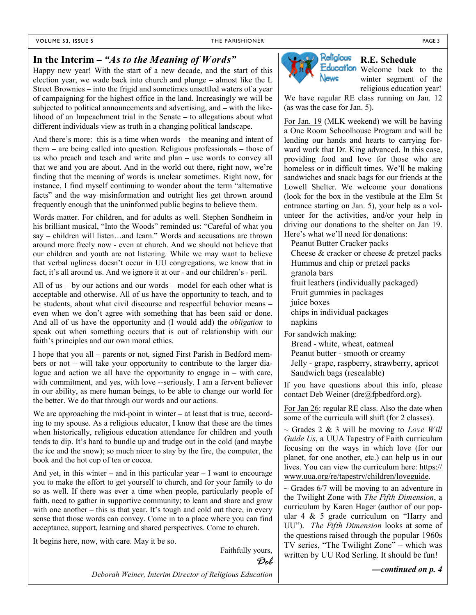#### **In the Interim –** *"As to the Meaning of Words"*

Happy new year! With the start of a new decade, and the start of this election year, we wade back into church and plunge – almost like the L Street Brownies – into the frigid and sometimes unsettled waters of a year of campaigning for the highest office in the land. Increasingly we will be subjected to political announcements and advertising, and – with the likelihood of an Impeachment trial in the Senate – to allegations about what different individuals view as truth in a changing political landscape.

And there's more: this is a time when words – the meaning and intent of them – are being called into question. Religious professionals – those of us who preach and teach and write and plan – use words to convey all that we and you are about. And in the world out there, right now, we're finding that the meaning of words is unclear sometimes. Right now, for instance, I find myself continuing to wonder about the term "alternative facts" and the way misinformation and outright lies get thrown around frequently enough that the uninformed public begins to believe them.

Words matter. For children, and for adults as well. Stephen Sondheim in his brilliant musical, "Into the Woods" reminded us: "Careful of what you say – children will listen…and learn." Words and accusations are thrown around more freely now - even at church. And we should not believe that our children and youth are not listening. While we may want to believe that verbal ugliness doesn't occur in UU congregations, we know that in fact, it's all around us. And we ignore it at our - and our children's - peril.

All of us – by our actions and our words – model for each other what is acceptable and otherwise. All of us have the opportunity to teach, and to be students, about what civil discourse and respectful behavior means – even when we don't agree with something that has been said or done. And all of us have the opportunity and (I would add) the *obligation* to speak out when something occurs that is out of relationship with our faith's principles and our own moral ethics.

I hope that you all – parents or not, signed First Parish in Bedford members or not – will take your opportunity to contribute to the larger dialogue and action we all have the opportunity to engage in – with care, with commitment, and yes, with love --seriously. I am a fervent believer in our ability, as mere human beings, to be able to change our world for the better. We do that through our words and our actions.

We are approaching the mid-point in winter – at least that is true, according to my spouse. As a religious educator, I know that these are the times when historically, religious education attendance for children and youth tends to dip. It's hard to bundle up and trudge out in the cold (and maybe the ice and the snow); so much nicer to stay by the fire, the computer, the book and the hot cup of tea or cocoa.

And yet, in this winter – and in this particular year  $-1$  want to encourage you to make the effort to get yourself to church, and for your family to do so as well. If there was ever a time when people, particularly people of faith, need to gather in supportive community; to learn and share and grow with one another – this is that year. It's tough and cold out there, in every sense that those words can convey. Come in to a place where you can find acceptance, support, learning and shared perspectives. Come to church.

It begins here, now, with care. May it be so.

Faithfully yours, *Deb* 



### **R.E. Schedule**

Education Welcome back to the winter segment of the religious education year!

We have regular RE class running on Jan. 12 (as was the case for Jan. 5).

For Jan. 19 (MLK weekend) we will be having a One Room Schoolhouse Program and will be lending our hands and hearts to carrying forward work that Dr. King advanced. In this case, providing food and love for those who are homeless or in difficult times. We'll be making sandwiches and snack bags for our friends at the Lowell Shelter. We welcome your donations (look for the box in the vestibule at the Elm St entrance starting on Jan. 5), your help as a volunteer for the activities, and/or your help in driving our donations to the shelter on Jan 19. Here's what we'll need for donations:

Peanut Butter Cracker packs

Cheese & cracker or cheese & pretzel packs Hummus and chip or pretzel packs granola bars

fruit leathers (individually packaged)

Fruit gummies in packages

juice boxes

chips in individual packages napkins

For sandwich making:

Bread - white, wheat, oatmeal

Peanut butter - smooth or creamy Jelly - grape, raspberry, strawberry, apricot Sandwich bags (resealable)

If you have questions about this info, please contact Deb Weiner (dre@fpbedford.org).

For Jan 26: regular RE class. Also the date when some of the curricula will shift (for 2 classes).

 $\sim$  Grades 2 & 3 will be moving to *Love Will Guide Us*, a UUA Tapestry of Faith curriculum focusing on the ways in which love (for our planet, for one another, etc.) can help us in our lives. You can view the curriculum here: https:// www.uua.org/re/tapestry/children/loveguide.

 $\sim$  Grades 6/7 will be moving to an adventure in the Twilight Zone with *The Fifth Dimension*, a curriculum by Karen Hager (author of our popular 4 & 5 grade curriculum on "Harry and UU"). *The Fifth Dimension* looks at some of the questions raised through the popular 1960s TV series, "The Twilight Zone" – which was written by UU Rod Serling. It should be fun!

*Deborah Weiner, Interim Director of Religious Education*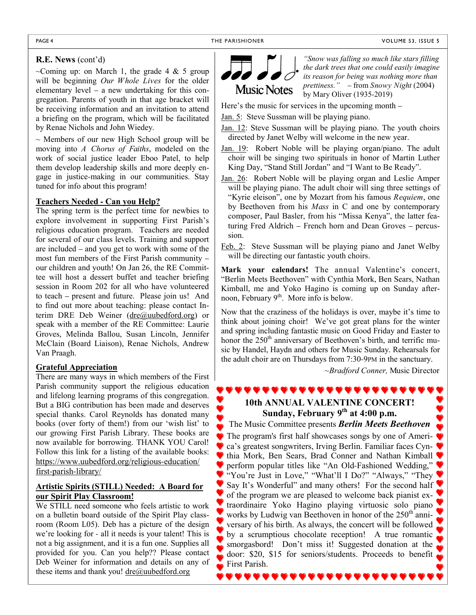#### **R.E. News** (cont'd)

~Coming up: on March 1, the grade 4  $\&$  5 group will be beginning *Our Whole Lives* for the older elementary level – a new undertaking for this congregation. Parents of youth in that age bracket will be receiving information and an invitation to attend a briefing on the program, which will be facilitated by Renae Nichols and John Wiedey.

 $\sim$  Members of our new High School group will be moving into *A Chorus of Faiths*, modeled on the work of social justice leader Eboo Patel, to help them develop leadership skills and more deeply engage in justice-making in our communities. Stay tuned for info about this program!

#### **Teachers Needed - Can you Help?**

The spring term is the perfect time for newbies to explore involvement in supporting First Parish's religious education program. Teachers are needed for several of our class levels. Training and support are included – and you get to work with some of the most fun members of the First Parish community – our children and youth! On Jan 26, the RE Committee will host a dessert buffet and teacher briefing session in Room 202 for all who have volunteered to teach – present and future. Please join us! And to find out more about teaching: please contact Interim DRE Deb Weiner (dre@uubedford.org) or speak with a member of the RE Committee: Laurie Groves, Melinda Ballou, Susan Lincoln, Jennifer McClain (Board Liaison), Renae Nichols, Andrew Van Praagh.

#### **Grateful Appreciation**

There are many ways in which members of the First Parish community support the religious education and lifelong learning programs of this congregation. But a BIG contribution has been made and deserves special thanks. Carol Reynolds has donated many books (over forty of them!) from our 'wish list' to our growing First Parish Library. These books are now available for borrowing. THANK YOU Carol! Follow this link for a listing of the available books: https://www.uubedford.org/religious-education/ first-parish-library/

#### **Artistic Spirits (STILL) Needed: A Board for our Spirit Play Classroom!**

We STILL need someone who feels artistic to work on a bulletin board outside of the Spirit Play classroom (Room L05). Deb has a picture of the design we're looking for - all it needs is your talent! This is not a big assignment, and it is a fun one. Supplies all provided for you. Can you help?? Please contact Deb Weiner for information and details on any of these items and thank you! dre@uubedford.org



*"Snow was falling so much like stars filling the dark trees that one could easily imagine its reason for being was nothing more than prettiness."* – from *Snowy Night* (2004) by Mary Oliver (1935-2019)

Here's the music for services in the upcoming month –

Jan. 5: Steve Sussman will be playing piano.

Jan. 12: Steve Sussman will be playing piano. The youth choirs directed by Janet Welby will welcome in the new year.

- Jan. 19: Robert Noble will be playing organ/piano. The adult choir will be singing two spirituals in honor of Martin Luther King Day, "Stand Still Jordan" and "I Want to Be Ready".
- Jan. 26: Robert Noble will be playing organ and Leslie Amper will be playing piano. The adult choir will sing three settings of "Kyrie eleison", one by Mozart from his famous *Requiem*, one by Beethoven from his *Mass* in C and one by contemporary composer, Paul Basler, from his "Missa Kenya", the latter featuring Fred Aldrich – French horn and Dean Groves – percussion.
- Feb. 2: Steve Sussman will be playing piano and Janet Welby will be directing our fantastic youth choirs.

**Mark your calendars!** The annual Valentine's concert, "Berlin Meets Beethoven" with Cynthia Mork, Ben Sears, Nathan Kimball, me and Yoko Hagino is coming up on Sunday afternoon, February  $9<sup>th</sup>$ . More info is below.

Now that the craziness of the holidays is over, maybe it's time to think about joining choir! We've got great plans for the winter and spring including fantastic music on Good Friday and Easter to honor the  $250<sup>th</sup>$  anniversary of Beethoven's birth, and terrific music by Handel, Haydn and others for Music Sunday. Rehearsals for the adult choir are on Thursdays from 7:30-9PM in the sanctuary.

*~Bradford Conner,* Music Director

#### **10th ANNUAL VALENTINE CONCERT! Sunday, February 9th at 4:00 p.m.**

,,,,,,,,,,,,,,,,,,,

The Music Committee presents *Berlin Meets Beethoven*

The program's first half showcases songs by one of Ameri-**C** ca's greatest songwriters, Irving Berlin. Familiar faces Cynthia Mork, Ben Sears, Brad Conner and Nathan Kimball perform popular titles like "An Old-Fashioned Wedding," "You're Just in Love," "What'll I Do?" "Always," "They Say It's Wonderful" and many others! For the second half of the program we are pleased to welcome back pianist extraordinaire Yoko Hagino playing virtuosic solo piano works by Ludwig van Beethoven in honor of the  $250<sup>th</sup>$  anniversary of his birth. As always, the concert will be followed by a scrumptious chocolate reception! A true romantic smorgasbord! Don't miss it! Suggested donation at the door: \$20, \$15 for seniors/students. Proceeds to benefit First Parish.

,,,,,,,,,,,,,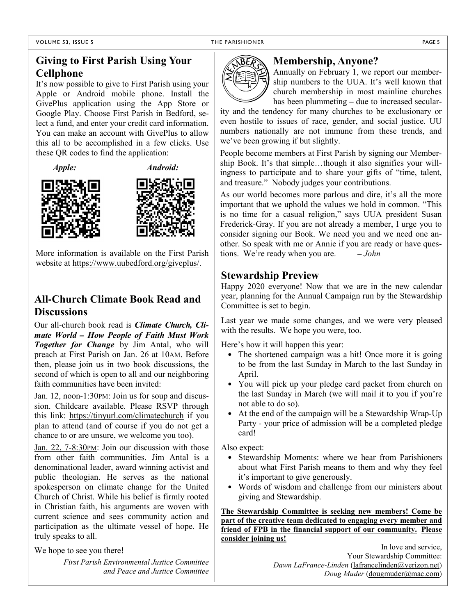#### **Giving to First Parish Using Your Cellphone**

It's now possible to give to First Parish using your Apple or Android mobile phone. Install the GivePlus application using the App Store or Google Play. Choose First Parish in Bedford, select a fund, and enter your credit card information. You can make an account with GivePlus to allow this all to be accomplished in a few clicks. Use these QR codes to find the application:







More information is available on the First Parish website at https://www.uubedford.org/giveplus/.

#### **All-Church Climate Book Read and Discussions**

Our all-church book read is *Climate Church, Climate World – How People of Faith Must Work Together for Change* by Jim Antal, who will preach at First Parish on Jan. 26 at 10AM. Before then, please join us in two book discussions, the second of which is open to all and our neighboring faith communities have been invited:

Jan. 12, noon-1:30 PM: Join us for soup and discussion. Childcare available. Please RSVP through this link: https://tinyurl.com/climatechurch if you plan to attend (and of course if you do not get a chance to or are unsure, we welcome you too).

Jan. 22, 7-8:30 PM: Join our discussion with those from other faith communities. Jim Antal is a denominational leader, award winning activist and public theologian. He serves as the national spokesperson on climate change for the United Church of Christ. While his belief is firmly rooted in Christian faith, his arguments are woven with current science and sees community action and participation as the ultimate vessel of hope. He truly speaks to all.

We hope to see you there!

*First Parish Environmental Justice Committee and Peace and Justice Committee*



#### **Membership, Anyone?**

Annually on February 1, we report our membership numbers to the UUA. It's well known that church membership in most mainline churches has been plummeting – due to increased secular-

ity and the tendency for many churches to be exclusionary or even hostile to issues of race, gender, and social justice. UU numbers nationally are not immune from these trends, and we've been growing if but slightly.

People become members at First Parish by signing our Membership Book. It's that simple…though it also signifies your willingness to participate and to share your gifts of "time, talent, and treasure." Nobody judges your contributions.

As our world becomes more parlous and dire, it's all the more important that we uphold the values we hold in common. "This is no time for a casual religion," says UUA president Susan Frederick-Gray. If you are not already a member, I urge you to consider signing our Book. We need you and we need one another. So speak with me or Annie if you are ready or have questions. We're ready when you are. *– John*

#### **Stewardship Preview**

Happy 2020 everyone! Now that we are in the new calendar year, planning for the Annual Campaign run by the Stewardship Committee is set to begin.

Last year we made some changes, and we were very pleased with the results. We hope you were, too.

Here's how it will happen this year:

- The shortened campaign was a hit! Once more it is going to be from the last Sunday in March to the last Sunday in April.
- You will pick up your pledge card packet from church on the last Sunday in March (we will mail it to you if you're not able to do so).
- At the end of the campaign will be a Stewardship Wrap-Up Party - your price of admission will be a completed pledge card!

Also expect:

- Stewardship Moments: where we hear from Parishioners about what First Parish means to them and why they feel it's important to give generously.
- Words of wisdom and challenge from our ministers about giving and Stewardship.

**The Stewardship Committee is seeking new members! Come be part of the creative team dedicated to engaging every member and friend of FPB in the financial support of our community. Please consider joining us!**

> In love and service, Your Stewardship Committee: *Dawn LaFrance-Linden* (lafrancelinden@verizon.net) *Doug Muder* (dougmuder@mac.com)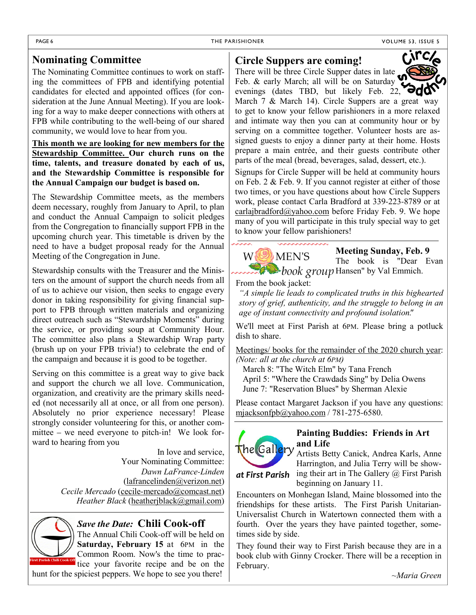#### **Nominating Committee**

The Nominating Committee continues to work on staffing the committees of FPB and identifying potential candidates for elected and appointed offices (for consideration at the June Annual Meeting). If you are looking for a way to make deeper connections with others at FPB while contributing to the well-being of our shared community, we would love to hear from you.

**This month we are looking for new members for the Stewardship Committee. Our church runs on the time, talents, and treasure donated by each of us, and the Stewardship Committee is responsible for the Annual Campaign our budget is based on.**

The Stewardship Committee meets, as the members deem necessary, roughly from January to April, to plan and conduct the Annual Campaign to solicit pledges from the Congregation to financially support FPB in the upcoming church year. This timetable is driven by the need to have a budget proposal ready for the Annual Meeting of the Congregation in June.

Stewardship consults with the Treasurer and the Ministers on the amount of support the church needs from all of us to achieve our vision, then seeks to engage every donor in taking responsibility for giving financial support to FPB through written materials and organizing direct outreach such as "Stewardship Moments" during the service, or providing soup at Community Hour. The committee also plans a Stewardship Wrap party (brush up on your FPB trivia!) to celebrate the end of the campaign and because it is good to be together.

Serving on this committee is a great way to give back and support the church we all love. Communication, organization, and creativity are the primary skills needed (not necessarily all at once, or all from one person). Absolutely no prior experience necessary! Please strongly consider volunteering for this, or another committee – we need everyone to pitch-in! We look forward to hearing from you

> In love and service, Your Nominating Committee: *Dawn LaFrance-Linden* (lafrancelinden@verizon.net) *Cecile Mercado* (cecile-mercado@comcast.net) *Heather Black* (heatherjblack@gmail.com)



#### *Save the Date:* **Chili Cook-off**

The Annual Chili Cook-off will be held on **Saturday, February 15** at 6PM in the Common Room. Now's the time to prac-

tice your favorite recipe and be on the hunt for the spiciest peppers. We hope to see you there!

#### **Circle Suppers are coming!**

There will be three Circle Supper dates in late Feb. & early March; all will be on Saturday evenings (dates TBD, but likely Feb. 22,  $\Theta$ March 7 & March 14). Circle Suppers are a great way to get to know your fellow parishioners in a more relaxed and intimate way then you can at community hour or by



Signups for Circle Supper will be held at community hours on Feb. 2 & Feb. 9. If you cannot register at either of those two times, or you have questions about how Circle Suppers work, please contact Carla Bradford at 339-223-8789 or at carlajbradford@yahoo.com before Friday Feb. 9. We hope many of you will participate in this truly special way to get to know your fellow parishioners!



#### **Meeting Sunday, Feb. 9**

The book is "Dear Evan Hansen" by Val Emmich.

From the book jacket:

*"A simple lie leads to complicated truths in this bighearted story of grief, authenticity, and the struggle to belong in an age of instant connectivity and profound isolation".*

We'll meet at First Parish at 6PM. Please bring a potluck dish to share.

Meetings/ books for the remainder of the 2020 church year: *(Note: all at the church at 6PM)*

March 8: "The Witch Elm" by Tana French April 5: "Where the Crawdads Sing" by Delia Owens June 7: "Reservation Blues" by Sherman Alexie

Please contact Margaret Jackson if you have any questions: mjacksonfpb@yahoo.com / 781-275-6580.



 *at First Parish* 

#### **Painting Buddies: Friends in Art and Life**

Artists Betty Canick, Andrea Karls, Anne Harrington, and Julia Terry will be showing their art in The Gallery @ First Parish beginning on January 11.

Encounters on Monhegan Island, Maine blossomed into the friendships for these artists. The First Parish Unitarian-Universalist Church in Watertown connected them with a fourth. Over the years they have painted together, sometimes side by side.

They found their way to First Parish because they are in a book club with Ginny Crocker. There will be a reception in February.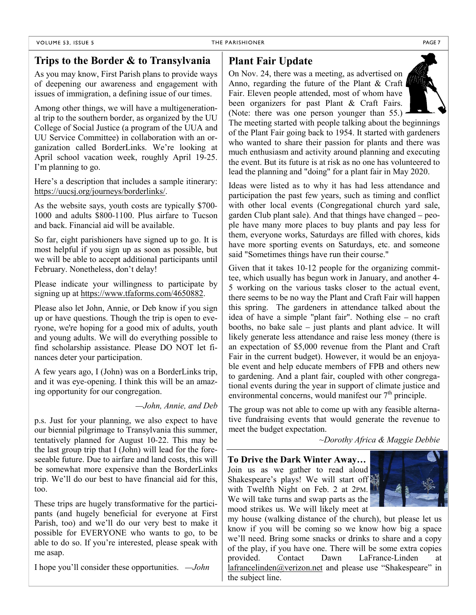#### THE PARISHIONER PAGE 7

#### **Trips to the Border & to Transylvania**

As you may know, First Parish plans to provide ways of deepening our awareness and engagement with issues of immigration, a defining issue of our times.

Among other things, we will have a multigenerational trip to the southern border, as organized by the UU College of Social Justice (a program of the UUA and UU Service Committee) in collaboration with an organization called BorderLinks. We're looking at April school vacation week, roughly April 19-25. I'm planning to go.

Here's a description that includes a sample itinerary: https://uucsj.org/journeys/borderlinks/.

As the website says, youth costs are typically \$700- 1000 and adults \$800-1100. Plus airfare to Tucson and back. Financial aid will be available.

So far, eight parishioners have signed up to go. It is most helpful if you sign up as soon as possible, but we will be able to accept additional participants until February. Nonetheless, don't delay!

Please indicate your willingness to participate by signing up at https://www.tfaforms.com/4650882.

Please also let John, Annie, or Deb know if you sign up or have questions. Though the trip is open to everyone, we're hoping for a good mix of adults, youth and young adults. We will do everything possible to find scholarship assistance. Please DO NOT let finances deter your participation.

A few years ago, I (John) was on a BorderLinks trip, and it was eye-opening. I think this will be an amazing opportunity for our congregation.

*—John, Annie, and Deb*

p.s. Just for your planning, we also expect to have our biennial pilgrimage to Transylvania this summer, tentatively planned for August 10-22. This may be the last group trip that I (John) will lead for the foreseeable future. Due to airfare and land costs, this will be somewhat more expensive than the BorderLinks trip. We'll do our best to have financial aid for this, too.

These trips are hugely transformative for the participants (and hugely beneficial for everyone at First Parish, too) and we'll do our very best to make it possible for EVERYONE who wants to go, to be able to do so. If you're interested, please speak with me asap.

I hope you'll consider these opportunities. *—John*

#### **Plant Fair Update**

On Nov. 24, there was a meeting, as advertised on Anno, regarding the future of the Plant  $& Craft \mid$ Fair. Eleven people attended, most of whom have been organizers for past Plant & Craft Fairs. (Note: there was one person younger than 55.)



The meeting started with people talking about the beginnings of the Plant Fair going back to 1954. It started with gardeners who wanted to share their passion for plants and there was much enthusiasm and activity around planning and executing the event. But its future is at risk as no one has volunteered to lead the planning and "doing" for a plant fair in May 2020.

Ideas were listed as to why it has had less attendance and participation the past few years, such as timing and conflict with other local events (Congregational church yard sale, garden Club plant sale). And that things have changed – people have many more places to buy plants and pay less for them, everyone works, Saturdays are filled with chores, kids have more sporting events on Saturdays, etc. and someone said "Sometimes things have run their course."

Given that it takes 10-12 people for the organizing committee, which usually has begun work in January, and another 4- 5 working on the various tasks closer to the actual event, there seems to be no way the Plant and Craft Fair will happen this spring. The gardeners in attendance talked about the idea of have a simple "plant fair". Nothing else – no craft booths, no bake sale – just plants and plant advice. It will likely generate less attendance and raise less money (there is an expectation of \$5,000 revenue from the Plant and Craft Fair in the current budget). However, it would be an enjoyable event and help educate members of FPB and others new to gardening. And a plant fair, coupled with other congregational events during the year in support of climate justice and environmental concerns, would manifest our  $7<sup>th</sup>$  principle.

The group was not able to come up with any feasible alternative fundraising events that would generate the revenue to meet the budget expectation.

*~Dorothy Africa & Maggie Debbie*

**To Drive the Dark Winter Away…** Join us as we gather to read aloud Shakespeare's plays! We will start off with Twelfth Night on Feb. 2 at 2PM. We will take turns and swap parts as the mood strikes us. We will likely meet at



my house (walking distance of the church), but please let us know if you will be coming so we know how big a space we'll need. Bring some snacks or drinks to share and a copy of the play, if you have one. There will be some extra copies provided. Contact Dawn LaFrance-Linden at lafrancelinden@verizon.net and please use "Shakespeare" in the subject line.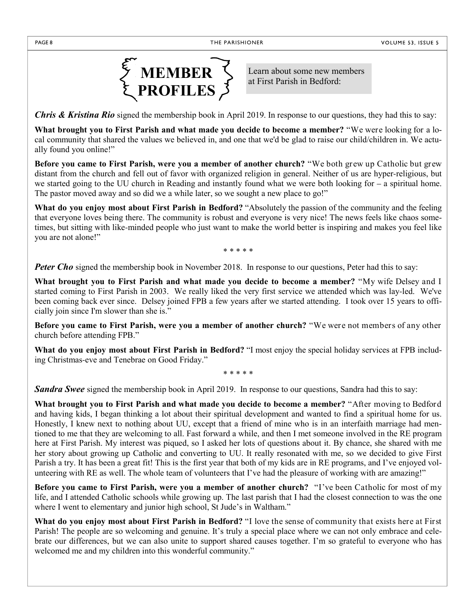

Learn about some new members at First Parish in Bedford:

*Chris & Kristina Rio* signed the membership book in April 2019. In response to our questions, they had this to say:

**What brought you to First Parish and what made you decide to become a member?** "We were looking for a local community that shared the values we believed in, and one that we'd be glad to raise our child/children in. We actually found you online!"

**Before you came to First Parish, were you a member of another church?** "We both grew up Catholic but grew distant from the church and fell out of favor with organized religion in general. Neither of us are hyper-religious, but we started going to the UU church in Reading and instantly found what we were both looking for – a spiritual home. The pastor moved away and so did we a while later, so we sought a new place to go!"

**What do you enjoy most about First Parish in Bedford?** "Absolutely the passion of the community and the feeling that everyone loves being there. The community is robust and everyone is very nice! The news feels like chaos sometimes, but sitting with like-minded people who just want to make the world better is inspiring and makes you feel like you are not alone!"

\* \* \* \* \*

**Peter Cho** signed the membership book in November 2018. In response to our questions, Peter had this to say:

**What brought you to First Parish and what made you decide to become a member?** "My wife Delsey and I started coming to First Parish in 2003. We really liked the very first service we attended which was lay-led. We've been coming back ever since. Delsey joined FPB a few years after we started attending. I took over 15 years to officially join since I'm slower than she is."

**Before you came to First Parish, were you a member of another church?** "We were not members of any other church before attending FPB."

**What do you enjoy most about First Parish in Bedford?** "I most enjoy the special holiday services at FPB including Christmas-eve and Tenebrae on Good Friday."

\* \* \* \* \*

*Sandra Swee* signed the membership book in April 2019. In response to our questions, Sandra had this to say:

**What brought you to First Parish and what made you decide to become a member?** "After moving to Bedford and having kids, I began thinking a lot about their spiritual development and wanted to find a spiritual home for us. Honestly, I knew next to nothing about UU, except that a friend of mine who is in an interfaith marriage had mentioned to me that they are welcoming to all. Fast forward a while, and then I met someone involved in the RE program here at First Parish. My interest was piqued, so I asked her lots of questions about it. By chance, she shared with me her story about growing up Catholic and converting to UU. It really resonated with me, so we decided to give First Parish a try. It has been a great fit! This is the first year that both of my kids are in RE programs, and I've enjoyed volunteering with RE as well. The whole team of volunteers that I've had the pleasure of working with are amazing!"

**Before you came to First Parish, were you a member of another church?** "I've been Catholic for most of my life, and I attended Catholic schools while growing up. The last parish that I had the closest connection to was the one where I went to elementary and junior high school, St Jude's in Waltham."

**What do you enjoy most about First Parish in Bedford?** "I love the sense of community that exists here at First Parish! The people are so welcoming and genuine. It's truly a special place where we can not only embrace and celebrate our differences, but we can also unite to support shared causes together. I'm so grateful to everyone who has welcomed me and my children into this wonderful community."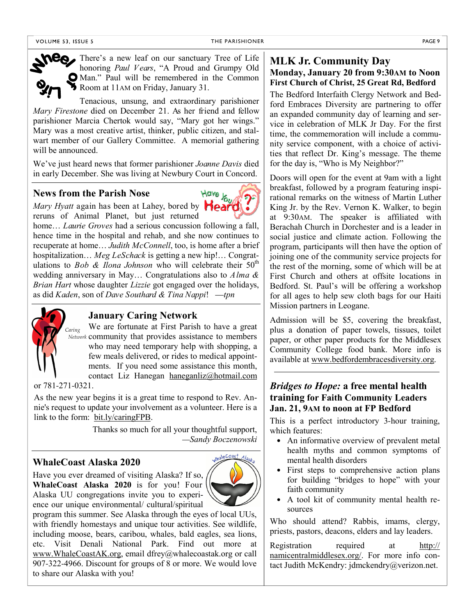#### THE PARISHIONER PAGE 9



There's a new leaf on our sanctuary Tree of Life honoring *Paul Vears*, "A Proud and Grumpy Old Man." Paul will be remembered in the Common Room at 11AM on Friday, January 31.

Tenacious, unsung, and extraordinary parishioner *Mary Firestone* died on December 21. As her friend and fellow parishioner Marcia Chertok would say, "Mary got her wings." Mary was a most creative artist, thinker, public citizen, and stalwart member of our Gallery Committee. A memorial gathering will be announced.

We've just heard news that former parishioner *Joanne Davis* died in early December. She was living at Newbury Court in Concord.

#### **News from the Parish Nose**

**News from the Parish Nose**<br>*Mary Hyatt* again has been at Lahey, bored by **Heard** reruns of Animal Planet, but just returned

home… *Laurie Groves* had a serious concussion following a fall, hence time in the hospital and rehab, and she now continues to recuperate at home… *Judith McConnell*, too, is home after a brief hospitalization… *Meg LeSchack* is getting a new hip!… Congratulations to *Bob & Ilona Johnson* who will celebrate their  $50<sup>th</sup>$ wedding anniversary in May… Congratulations also to *Alma & Brian Hart* whose daughter *Lizzie* got engaged over the holidays, as did *Kaden*, son of *Dave Southard & Tina Nappi*! —*tpn*



#### **January Caring Network**

We are fortunate at First Parish to have a great Network community that provides assistance to members who may need temporary help with shopping, a few meals delivered, or rides to medical appointments. If you need some assistance this month, contact Liz Hanegan haneganliz@hotmail.com

or 781-271-0321.

As the new year begins it is a great time to respond to Rev. Annie's request to update your involvement as a volunteer. Here is a link to the form: bit.ly/caringFPB.

> Thanks so much for all your thoughtful support, *—Sandy Boczenowski*

#### **WhaleCoast Alaska 2020**

Have you ever dreamed of visiting Alaska? If so, **WhaleCoast Alaska 2020** is for you! Four Alaska UU congregations invite you to experience our unique environmental/ cultural/spiritual



program this summer. See Alaska through the eyes of local UUs, with friendly homestays and unique tour activities. See wildlife, including moose, bears, caribou, whales, bald eagles, sea lions, etc. Visit Denali National Park. Find out more at www.WhaleCoastAK.org, email dfrey@whalecoastak.org or call 907-322-4966. Discount for groups of 8 or more. We would love to share our Alaska with you!

#### **MLK Jr. Community Day Monday, January 20 from 9:30AM to Noon First Church of Christ, 25 Great Rd, Bedford**

The Bedford Interfaith Clergy Network and Bedford Embraces Diversity are partnering to offer an expanded community day of learning and service in celebration of MLK Jr Day. For the first time, the commemoration will include a community service component, with a choice of activities that reflect Dr. King's message. The theme for the day is, "Who is My Neighbor?"

Doors will open for the event at 9am with a light breakfast, followed by a program featuring inspirational remarks on the witness of Martin Luther King Jr. by the Rev. Vernon K. Walker, to begin at 9:30AM. The speaker is affiliated with Berachah Church in Dorchester and is a leader in social justice and climate action. Following the program, participants will then have the option of joining one of the community service projects for the rest of the morning, some of which will be at First Church and others at offsite locations in Bedford. St. Paul's will be offering a workshop for all ages to help sew cloth bags for our Haiti Mission partners in Leogane.

Admission will be \$5, covering the breakfast, plus a donation of paper towels, tissues, toilet paper, or other paper products for the Middlesex Community College food bank. More info is available at www.bedfordembracesdiversity.org.

#### *Bridges to Hope:* **a free mental health training for Faith Community Leaders Jan. 21, 9AM to noon at FP Bedford**

This is a perfect introductory 3-hour training, which features:

- An informative overview of prevalent metal health myths and common symptoms of mental health disorders
- First steps to comprehensive action plans for building "bridges to hope" with your faith community
- A tool kit of community mental health resources

Who should attend? Rabbis, imams, clergy, priests, pastors, deacons, elders and lay leaders.

Registration required at http:// namicentralmiddlesex.org/. For more info contact Judith McKendry: jdmckendry@verizon.net.